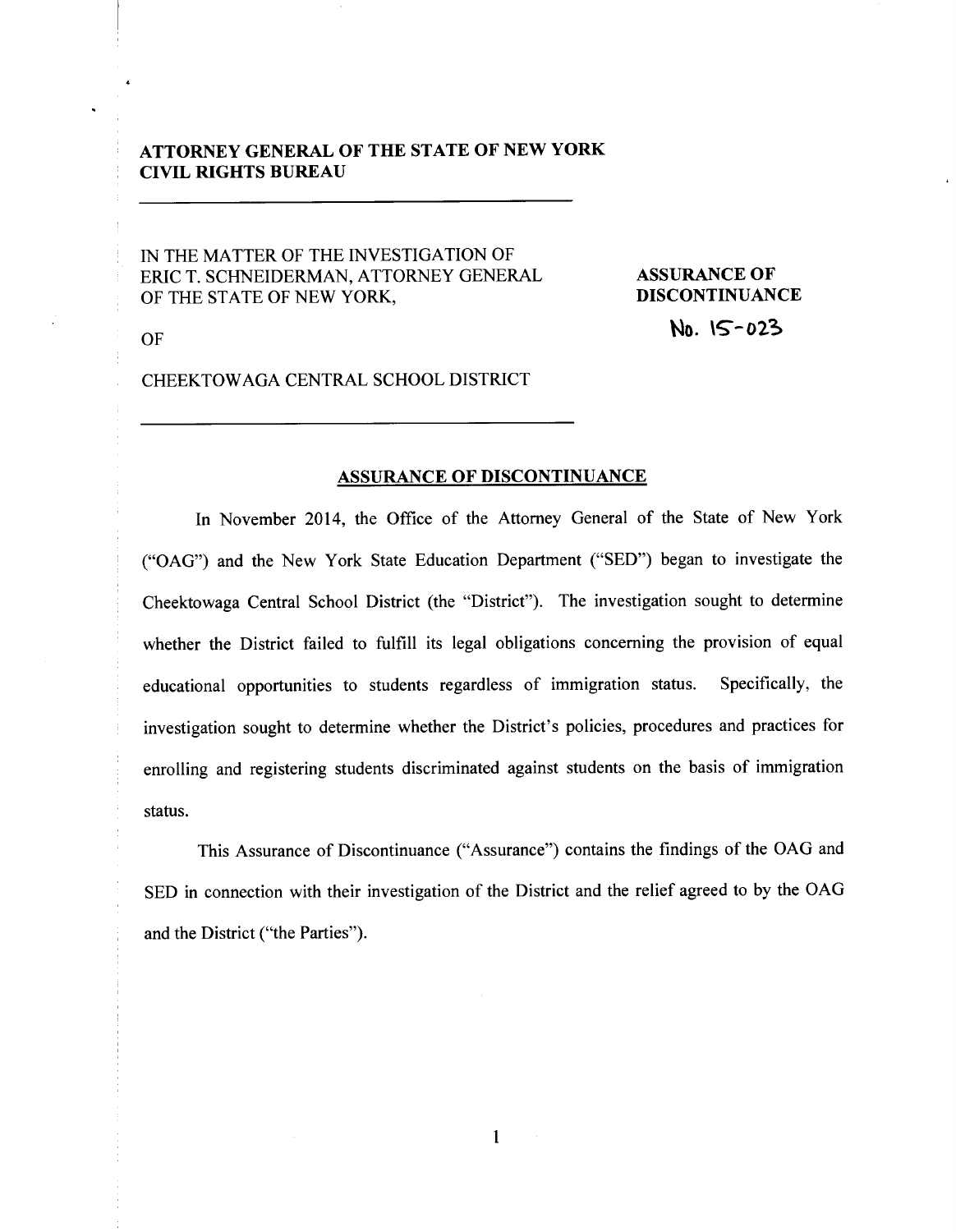# **ATTORNEY GENERAL OF THE STATE OF NEW YORK CIVIL RIGHTS BUREAU**

IN THE MATTER OF THE INVESTIGATION OF ERIC T. SCHNEIDERMAN, ATTORNEY GENERAL OF THE STATE OF NEW YORK,

**ASSURANCE OF DISCONTINUANCE No.** \S--02~

OF

CHEEKTOWAGA CENTRAL SCHOOL DISTRICT

#### **ASSURANCE OF DISCONTINUANCE**

In November 2014, the Office of the Attorney General of the State of New York ("OAG") and the New York State Education Department ("SED") began to investigate the Cheektowaga Central School District (the "District"). The investigation sought to determine whether the District failed to fulfill its legal obligations concerning the provision of equal educational opportunities to students regardless of immigration status. Specifically, the investigation sought to determine whether the District's policies, procedures and practices for enrolling and registering students discriminated against students on the basis of immigration status.

This Assurance of Discontinuance ("Assurance") contains the findings of the OAG and SED in connection with their investigation of the District and the relief agreed to by the OAG and the District ("the Parties").

**1**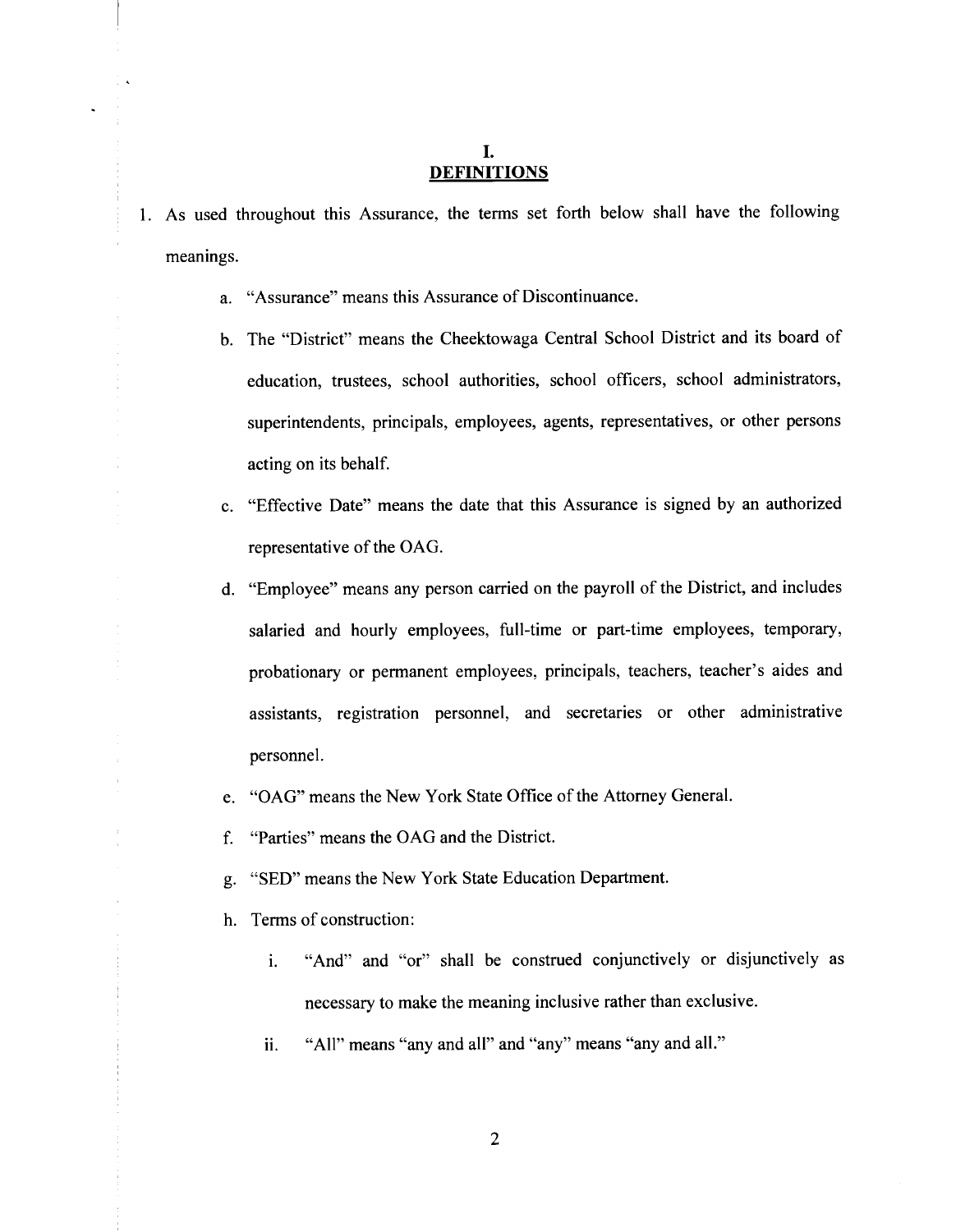## I. **DEFINITIONS**

- 1. As used throughout this Assurance, the terms set forth below shall have the following meanings.
	- a. "Assurance" means this Assurance of Discontinuance.
	- b. The "District" means the Cheektowaga Central School District and its board of education, trustees, school authorities, school officers, school administrators, superintendents, principals, employees, agents, representatives, or other persons acting on its behalf.
	- c. "Effective Date" means the date that this Assurance is signed by an authorized representative of the OAG.
	- d. "Employee" means any person carried on the payroll of the District, and includes salaried and hourly employees, full-time or part-time employees, temporary, probationary or permanent employees, principals, teachers, teacher's aides and assistants, registration personnel, and secretaries or other administrative personnel.
	- e. "OAG" means the New York State Office of the Attorney General.
	- f. "Parties" means the OAG and the District.
	- g. "SEO" means the New York State Education Department.
	- h. Terms of construction:
		- 1. "And" and "or" shall be construed conjunctively or disjunctively as necessary to make the meaning inclusive rather than exclusive.
		- ii. "All" means "any and all" and "any" means "any and all."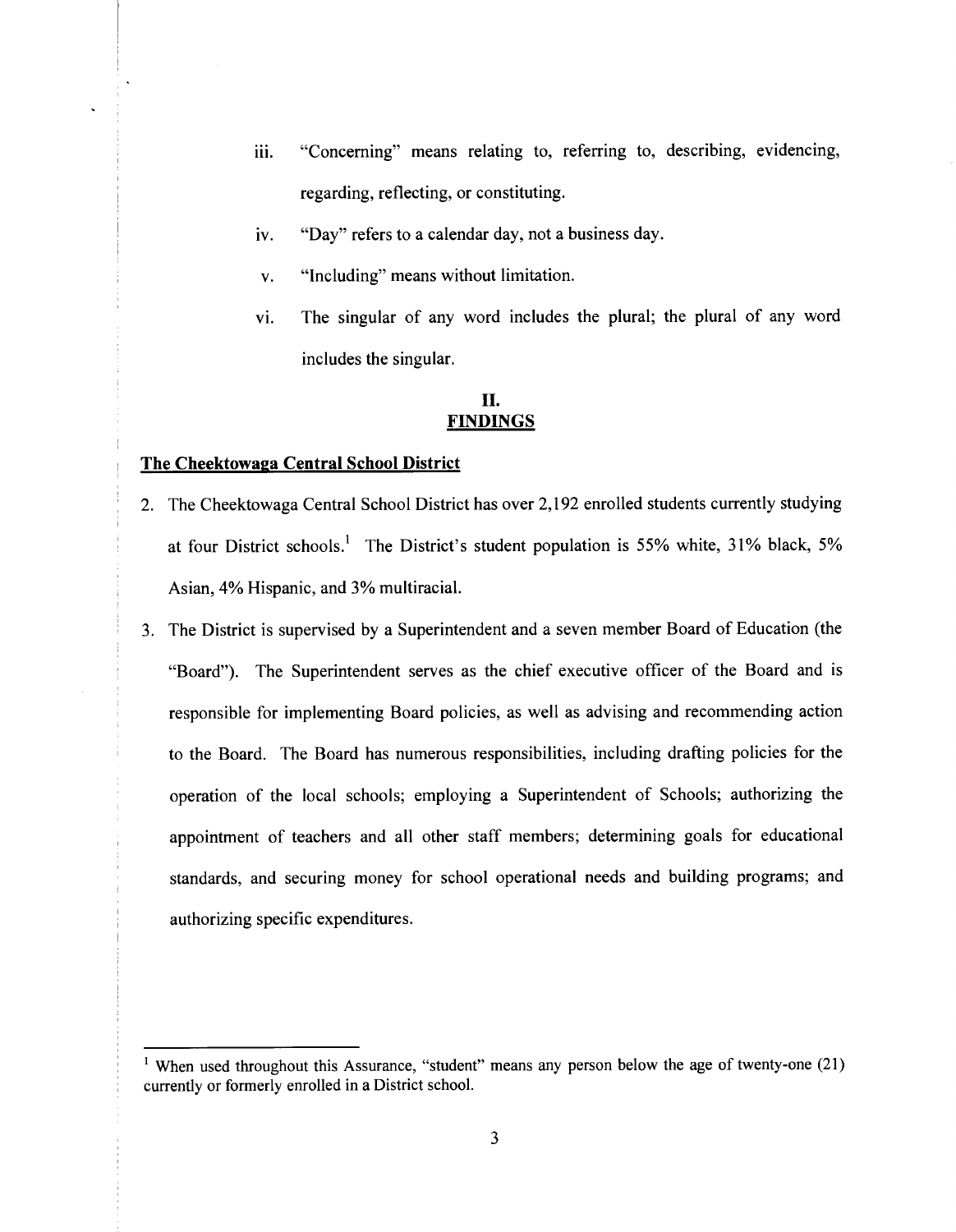- iii. "Concerning" means relating to, referring to, describing, evidencing, regarding, reflecting, or constituting.
- iv. "Day" refers to a calendar day, not a business day.
- v. "Including" means without limitation.
- vi. The singular of any word includes the plural; the plural of any word includes the singular.

#### II. **FINDINGS**

#### **The Cheektowaga Central School District**

- 2. The Cheektowaga Central School District has over 2, 192 enrolled students currently studying at four District schools.<sup>1</sup> The District's student population is 55% white, 31% black, 5% Asian, 4% Hispanic, and 3% multiracial.
- 3. The District is supervised by a Superintendent and a seven member Board of Education (the "Board"). The Superintendent serves as the chief executive officer of the Board and is responsible for implementing Board policies, as well as advising and recommending action to the Board. The Board has numerous responsibilities, including drafting policies for the operation of the local schools; employing a Superintendent of Schools; authorizing the appointment of teachers and all other staff members; determining goals for educational standards, and securing money for school operational needs and building programs; and authorizing specific expenditures.

<sup>&</sup>lt;sup>1</sup> When used throughout this Assurance, "student" means any person below the age of twenty-one (21) currently or formerly enrolled in a District school.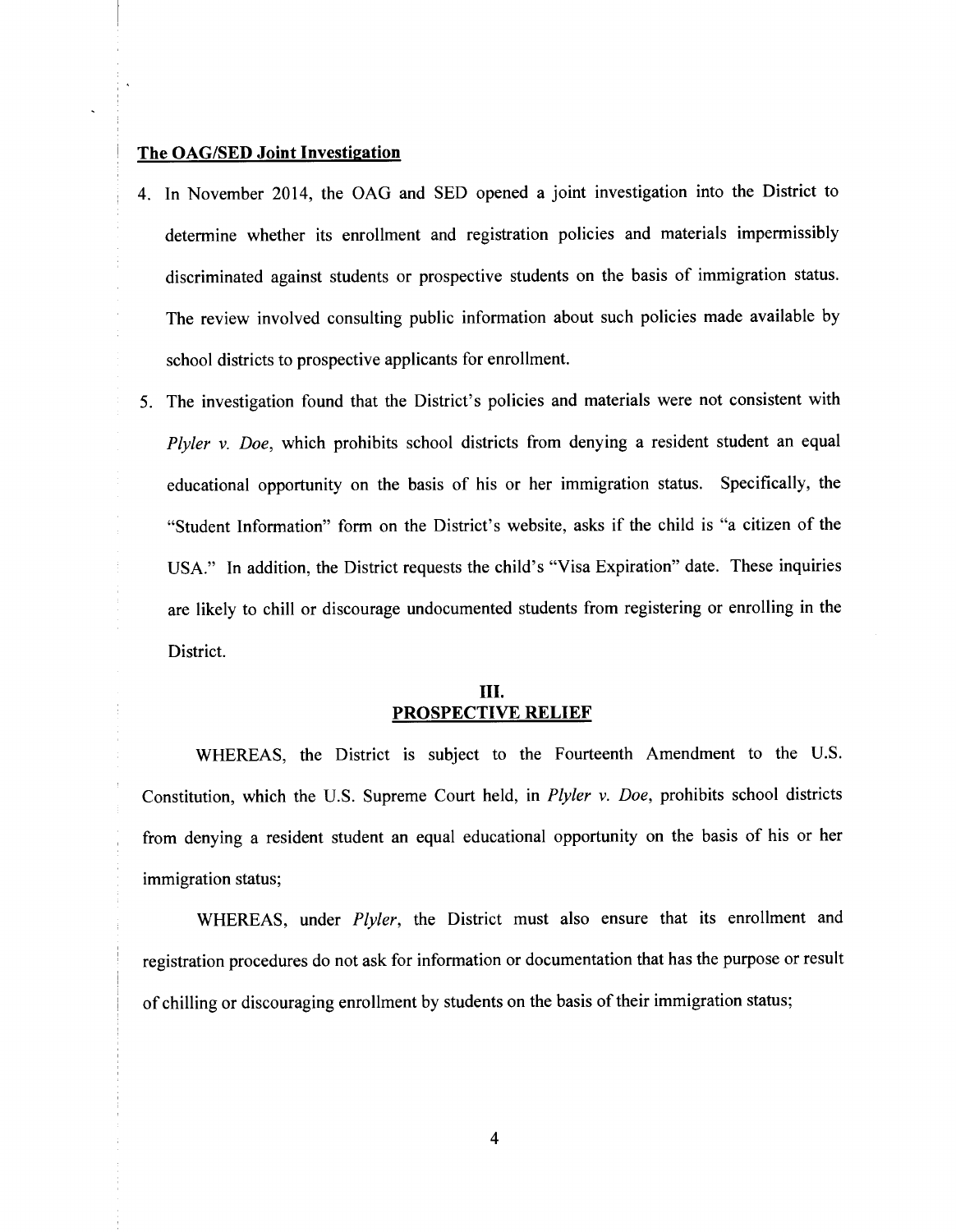#### **The OAG/SED Joint Investigation**

- 4. In November 2014, the OAG and SED opened a joint investigation into the District to determine whether its enrollment and registration policies and materials impermissibly discriminated against students or prospective students on the basis of immigration status. The review involved consulting public information about such policies made available by school districts to prospective applicants for enrollment.
- 5. The investigation found that the District's policies and materials were not consistent with *Plyler v. Doe,* which prohibits school districts from denying a resident student an equal educational opportunity on the basis of his or her immigration status. Specifically, the "Student Information" form on the District's website, asks if the child is "a citizen of the USA." In addition, the District requests the child's "Visa Expiration" date. These inquiries are likely to chill or discourage undocumented students from registering or enrolling in the District.

# III. **PROSPECTIVE RELIEF**

WHEREAS, the District is subject to the Fourteenth Amendment to the U.S. Constitution, which the U.S. Supreme Court held, in *Plyler v. Doe,* prohibits school districts from denying a resident student an equal educational opportunity on the basis of his or her immigration status;

WHEREAS, under *Plyler,* the District must also ensure that its enrollment and registration procedures do not ask for information or documentation that has the purpose or result of chilling or discouraging enrollment by students on the basis of their immigration status;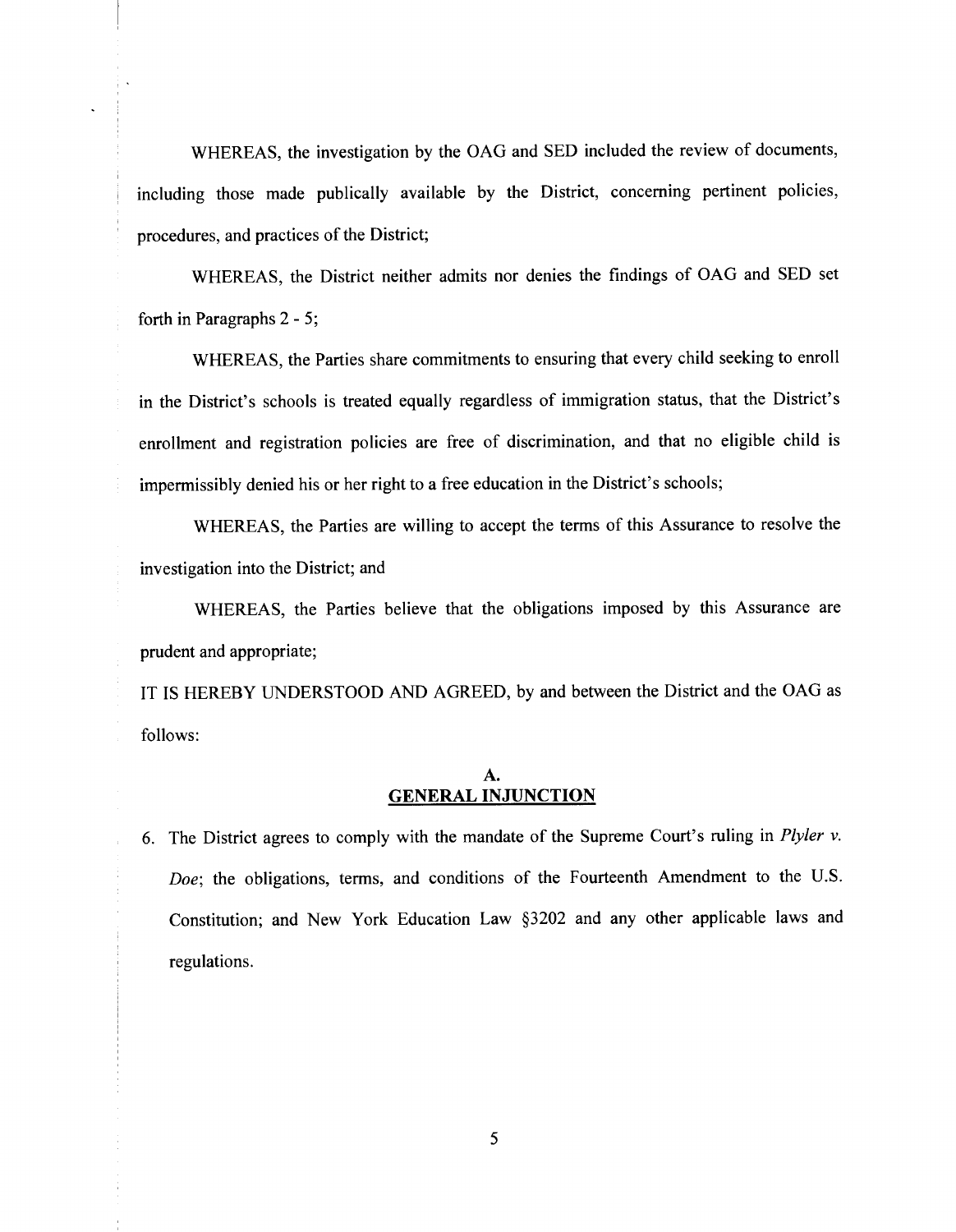WHEREAS, the investigation by the OAG and SED included the review of documents, including those made publically available by the District, concerning pertinent policies, procedures, and practices of the District;

WHEREAS, the District neither admits nor denies the findings of OAG and SED set forth in Paragraphs 2 - 5;

WHEREAS, the Parties share commitments to ensuring that every child seeking to enroll in the District's schools is treated equally regardless of immigration status, that the District's enrollment and registration policies are free of discrimination, and that no eligible child is impermissibly denied his or her right to a free education in the District's schools;

WHEREAS, the Parties are willing to accept the terms of this Assurance to resolve the investigation into the District; and

WHEREAS, the Parties believe that the obligations imposed by this Assurance are prudent and appropriate;

IT IS HEREBY UNDERSTOOD AND AGREED, by and between the District and the OAG as follows:

#### A. **GENERAL INJUNCTION**

6. The District agrees to comply with the mandate of the Supreme Court's ruling in *Plyler v. Doe;* the obligations, terms, and conditions of the Fourteenth Amendment to the U.S. Constitution; and New York Education Law §3202 and any other applicable laws and regulations.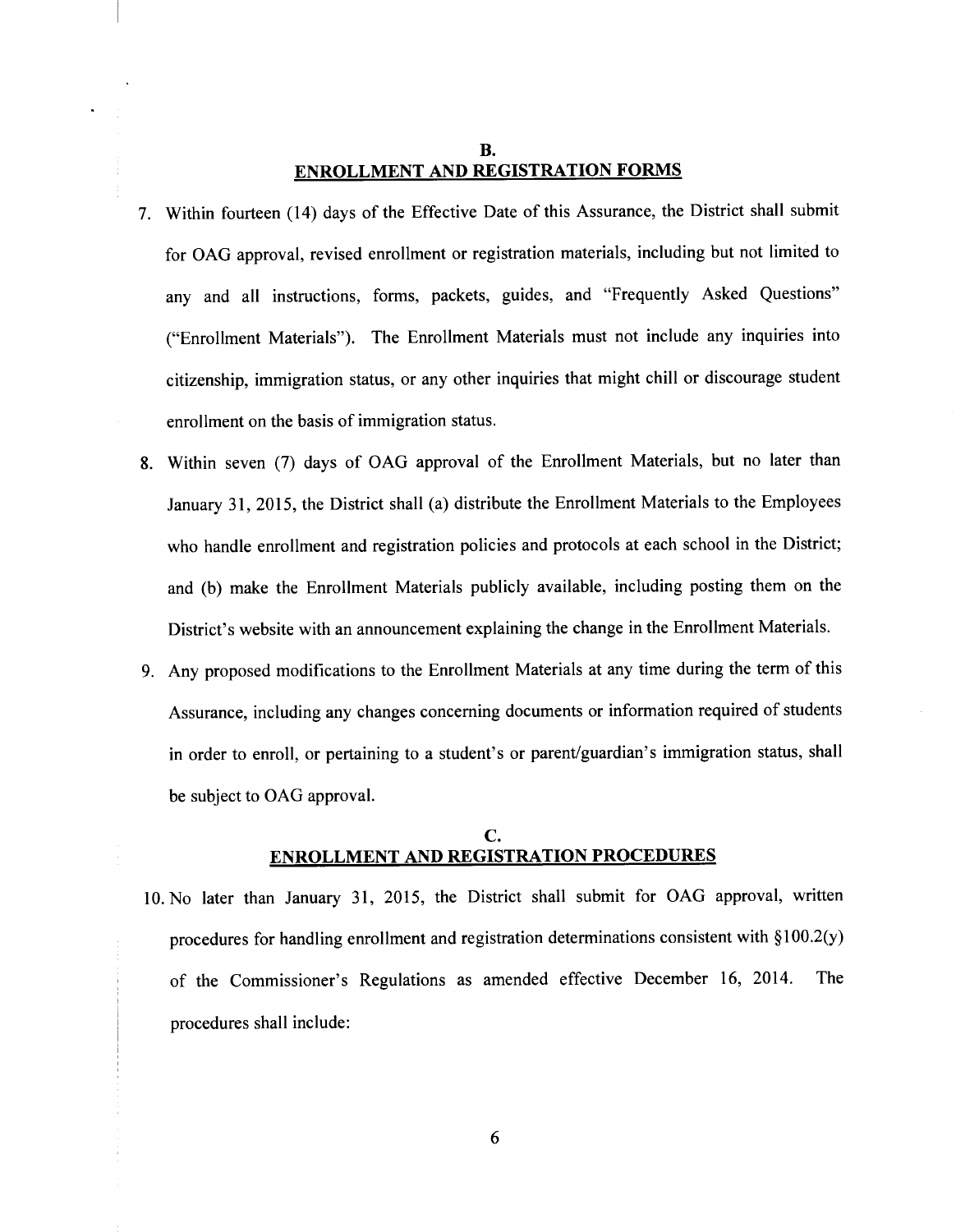## **B. ENROLLMENT AND REGISTRATION FORMS**

- 7. Within fourteen (14) days of the Effective Date of this Assurance, the District shall submit for OAG approval, revised enrollment or registration materials, including but not limited to any and all instructions, forms, packets, guides, and "Frequently Asked Questions" ("Enrollment Materials"). The Enrollment Materials must not include any inquiries into citizenship, immigration status, or any other inquiries that might chill or discourage student enrollment on the basis of immigration status.
- 8. Within seven (7) days of OAG approval of the Enrollment Materials, but no later than January 31, 2015, the District shall (a) distribute the Enrollment Materials to the Employees who handle enrollment and registration policies and protocols at each school in the District; and (b) make the Enrollment Materials publicly available, including posting them on the District's website with an announcement explaining the change in the Enrollment Materials.
- 9. Any proposed modifications to the Enrollment Materials at any time during the term of this Assurance, including any changes concerning documents or information required of students in order to enroll, or pertaining to a student's or parent/guardian's immigration status, shall be subject to OAG approval.

## c. **ENROLLMENT AND REGISTRATION PROCEDURES**

10. No later than January 31, 2015, the District shall submit for OAG approval, written procedures for handling enrollment and registration determinations consistent with § 100.2(y) of the Commissioner's Regulations as amended effective December 16, 2014. The procedures shall include: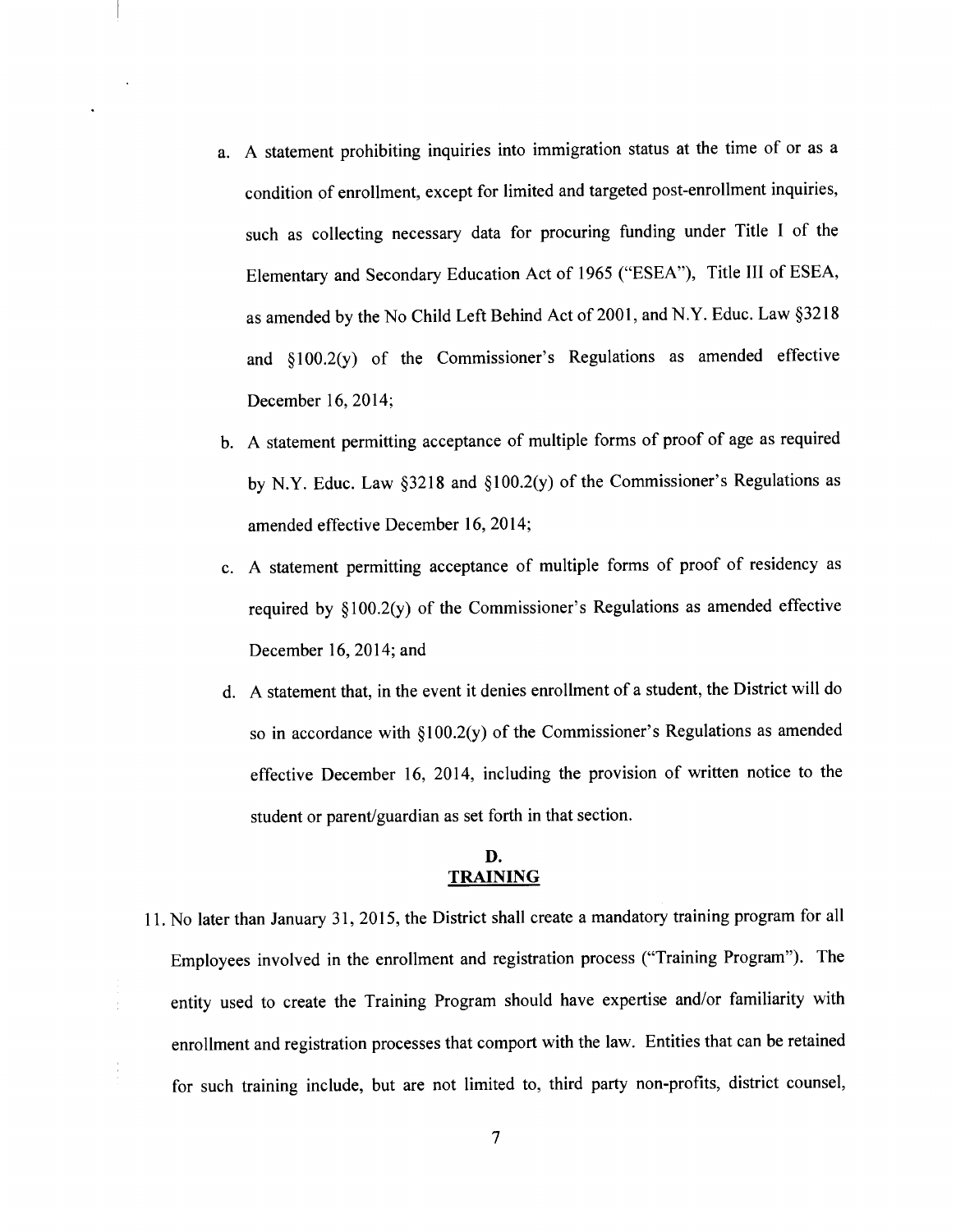- a. A statement prohibiting inquiries into immigration status at the time of or as a condition of enrollment, except for limited and targeted post-enrollment inquiries, such as collecting necessary data for procuring funding under Title I of the Elementary and Secondary Education Act of 1965 ("ESEA"), Title III of ESEA, as amended by the No Child Left Behind Act of 2001, and N.Y. Educ. Law §3218 and § 100.2(y) of the Commissioner's Regulations as amended effective December 16, 2014;
- b. A statement permitting acceptance of multiple forms of proof of age as required by N.Y. Educ. Law §3218 and §100.2(y) of the Commissioner's Regulations as amended effective December 16, 2014;
- c. A statement permitting acceptance of multiple forms of proof of residency as required by § 100.2(y) of the Commissioner's Regulations as amended effective December 16, 2014; and
- d. A statement that, in the event it denies enrollment of a student, the District will do so in accordance with §100.2(y) of the Commissioner's Regulations as amended effective December 16, 2014, including the provision of written notice to the student or parent/guardian as set forth in that section.

# **D. TRAINING**

11. No later than January 31, 2015, the District shall create a mandatory training program for all Employees involved in the enrollment and registration process ("Training Program"). The entity used to create the Training Program should have expertise and/or familiarity with enrollment and registration processes that comport with the law. Entities that can be retained for such training include, but are not limited to, third party non-profits, district counsel,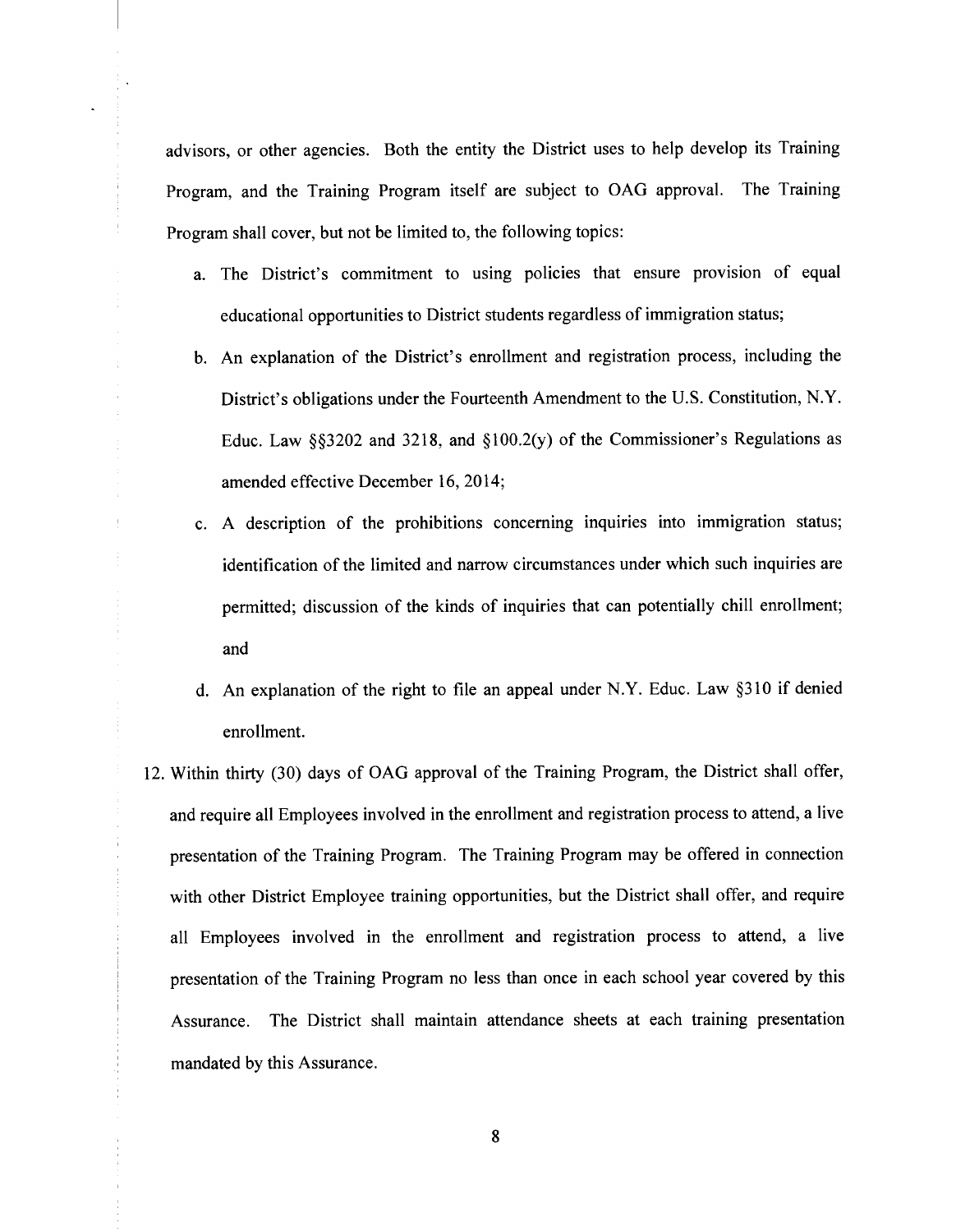advisors, or other agencies. Both the entity the District uses to help develop its Training Program, and the Training Program itself are subject to OAG approval. The Training Program shall cover, but not be limited to, the following topics:

- a. The District's commitment to using policies that ensure provision of equal educational opportunities to District students regardless of immigration status;
- b. An explanation of the District's enrollment and registration process, including the District's obligations under the Fourteenth Amendment to the U.S. Constitution, N.Y. Educ. Law  $\S$ \$3202 and 3218, and  $\S$ 100.2(y) of the Commissioner's Regulations as amended effective December 16, 2014;
- c. A description of the prohibitions concerning inquiries into immigration status; identification of the limited and narrow circumstances under which such inquiries are permitted; discussion of the kinds of inquiries that can potentially chill enrollment; and
- d. An explanation of the right to file an appeal under N.Y. Educ. Law §310 if denied enrollment.
- 12. Within thirty (30) days of OAG approval of the Training Program, the District shall offer, and require all Employees involved in the enrollment and registration process to attend, a live presentation of the Training Program. The Training Program may be offered in connection with other District Employee training opportunities, but the District shall offer, and require all Employees involved in the enrollment and registration process to attend, a live presentation of the Training Program no less than once in each school year covered by this Assurance. The District shall maintain attendance sheets at each training presentation mandated by this Assurance.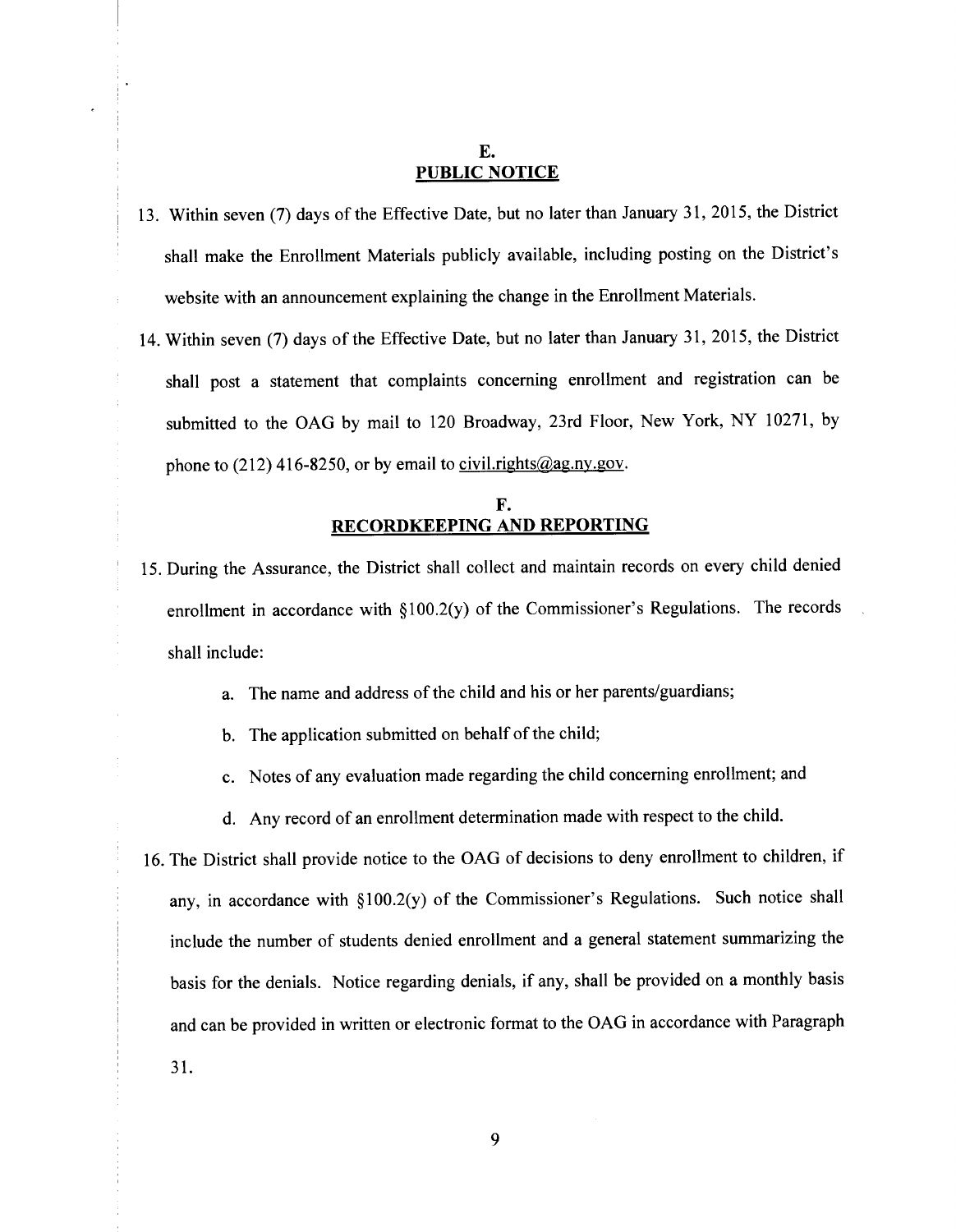## E. **PUBLIC NOTICE**

- 13. Within seven (7) days of the Effective Date, but no later than January 31, 2015, the District shall make the Enrollment Materials publicly available, including posting on the District's website with an announcement explaining the change in the Enrollment Materials.
- 14. Within seven (7) days of the Effective Date, but no later than January 31, 2015, the District shall post a statement that complaints concerning enrollment and registration can be submitted to the OAG by mail to 120 Broadway, 23rd Floor, New York, NY 10271, by phone to (212) 416-8250, or by email to civil.rights@ag.ny.gov.

# **F. RECORDKEEPING AND REPORTING**

- 15. During the Assurance, the District shall collect and maintain records on every child denied enrollment in accordance with §100.2(y) of the Commissioner's Regulations. The records shall include:
	- a. The name and address of the child and his or her parents/guardians;
	- b. The application submitted on behalf of the child;
	- c. Notes of any evaluation made regarding the child concerning enrollment; and
	- d. Any record of an enrollment determination made with respect to the child.
- 16. The District shall provide notice to the OAG of decisions to deny enrollment to children, if any, in accordance with §100.2(y) of the Commissioner's Regulations. Such notice shall include the number of students denied enrollment and a general statement summarizing the basis for the denials. Notice regarding denials, if any, shall be provided on a monthly basis and can be provided in written or electronic format to the OAG in accordance with Paragraph 31.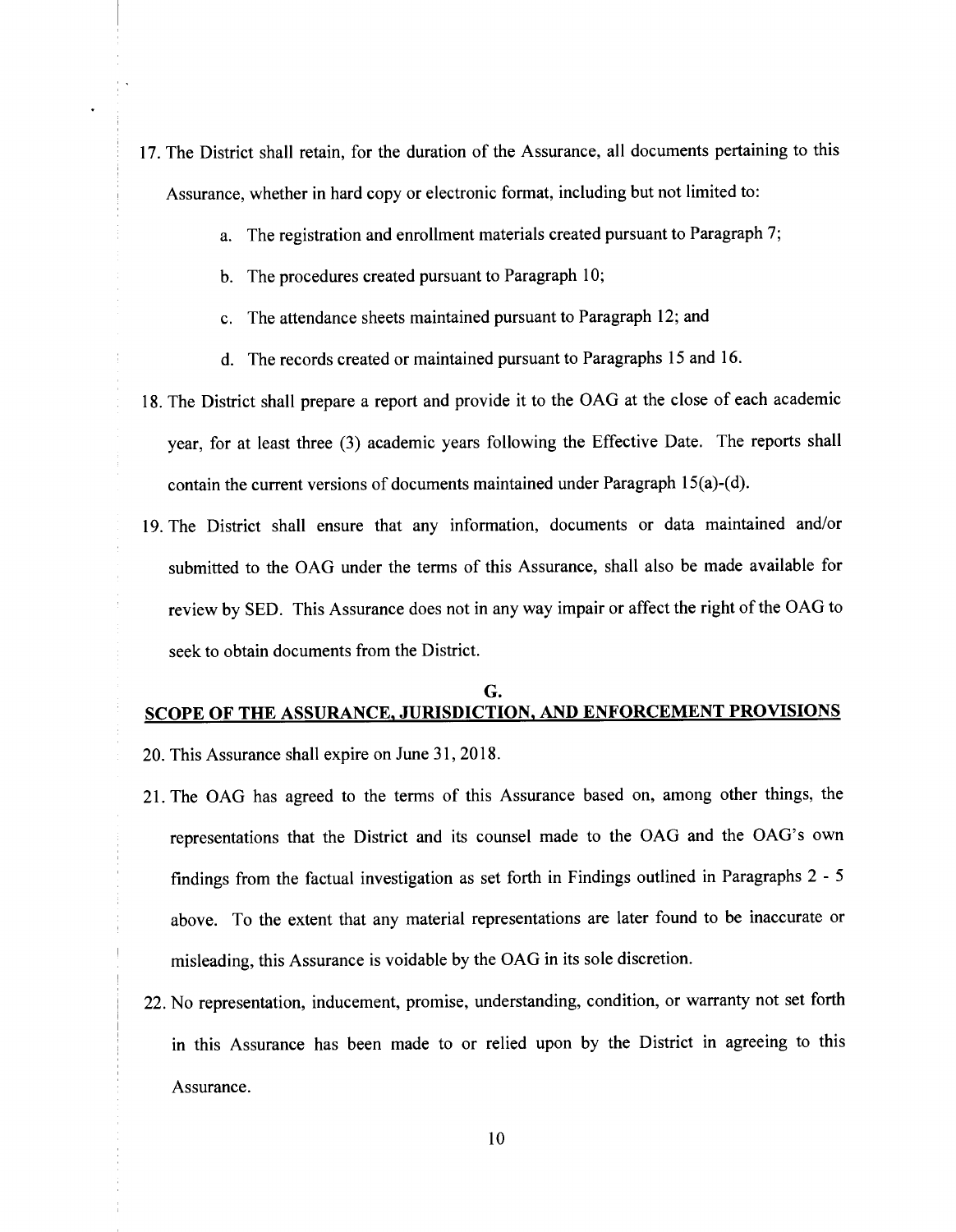- 17. The District shall retain, for the duration of the Assurance, all documents pertaining to this Assurance, whether in hard copy or electronic format, including but not limited to:
	- a. The registration and enrollment materials created pursuant to Paragraph 7;
	- b. The procedures created pursuant to Paragraph 10;
	- c. The attendance sheets maintained pursuant to Paragraph 12; and
	- d. The records created or maintained pursuant to Paragraphs 15 and 16.
- 18. The District shall prepare a report and provide it to the OAG at the close of each academic year, for at least three (3) academic years following the Effective Date. The reports shall contain the current versions of documents maintained under Paragraph 15(a)-(d).
- 19. The District shall ensure that any information, documents or data maintained and/or submitted to the OAG under the terms of this Assurance, shall also be made available for review by SED. This Assurance does not in any way impair or affect the right of the OAG to seek to obtain documents from the District.

# G. SCOPE OF THE ASSURANCE, JURISDICTION, AND ENFORCEMENT PROVISIONS

- 20. This Assurance shall expire on June 31, 2018.
- 21. The OAG has agreed to the terms of this Assurance based on, among other things, the representations that the District and its counsel made to the OAG and the OAG's own findings from the factual investigation as set forth in Findings outlined in Paragraphs 2 - 5 above. To the extent that any material representations are later found to be inaccurate or misleading, this Assurance is voidable by the OAG in its sole discretion.
- 22. No representation, inducement, promise, understanding, condition, or warranty not set forth in this Assurance has been made to or relied upon by the District in agreeing to this Assurance.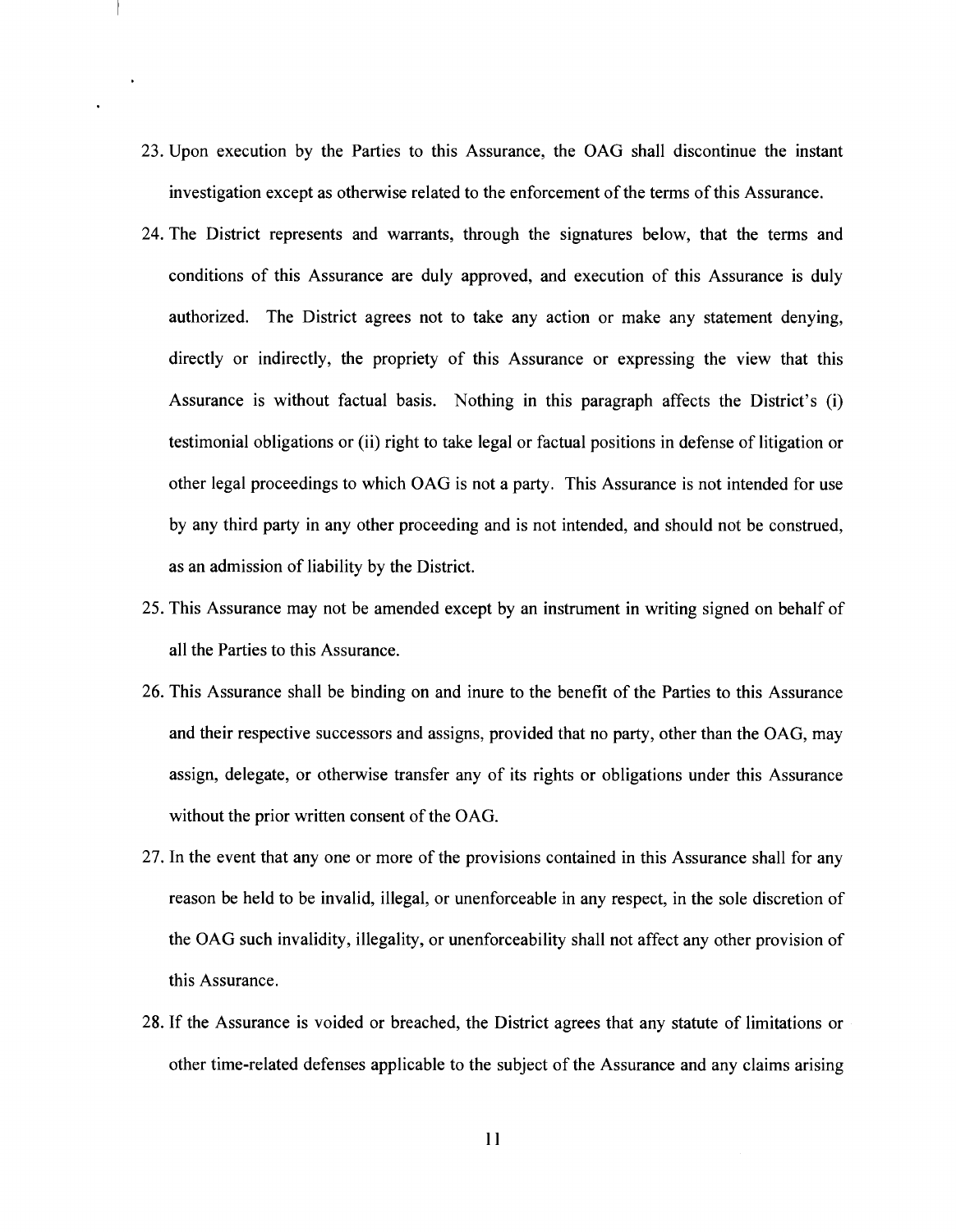- 23. Upon execution by the Parties to this Assurance, the OAG shall discontinue the instant investigation except as otherwise related to the enforcement of the terms of this Assurance.
- 24. The District represents and warrants, through the signatures below, that the terms and conditions of this Assurance are duly approved, and execution of this Assurance is duly authorized. The District agrees not to take any action or make any statement denying, directly or indirectly, the propriety of this Assurance or expressing the view that this Assurance is without factual basis. Nothing in this paragraph affects the District's (i) testimonial obligations or (ii) right to take legal or factual positions in defense of litigation or other legal proceedings to which OAG is not a party. This Assurance is not intended for use by any third party in any other proceeding and is not intended, and should not be construed, as an admission of liability by the District.
- 25. This Assurance may not be amended except by an instrument in writing signed on behalf of all the Parties to this Assurance.
- 26. This Assurance shall be binding on and inure to the benefit of the Parties to this Assurance and their respective successors and assigns, provided that no party, other than the OAG, may assign, delegate, or otherwise transfer any of its rights or obligations under this Assurance without the prior written consent of the OAG.
- 27. In the event that any one or more of the provisions contained in this Assurance shall for any reason be held to be invalid, illegal, or unenforceable in any respect, in the sole discretion of the OAG such invalidity, illegality, or unenforceability shall not affect any other provision of this Assurance.
- 28. If the Assurance is voided or breached, the District agrees that any statute of limitations or other time-related defenses applicable to the subject of the Assurance and any claims arising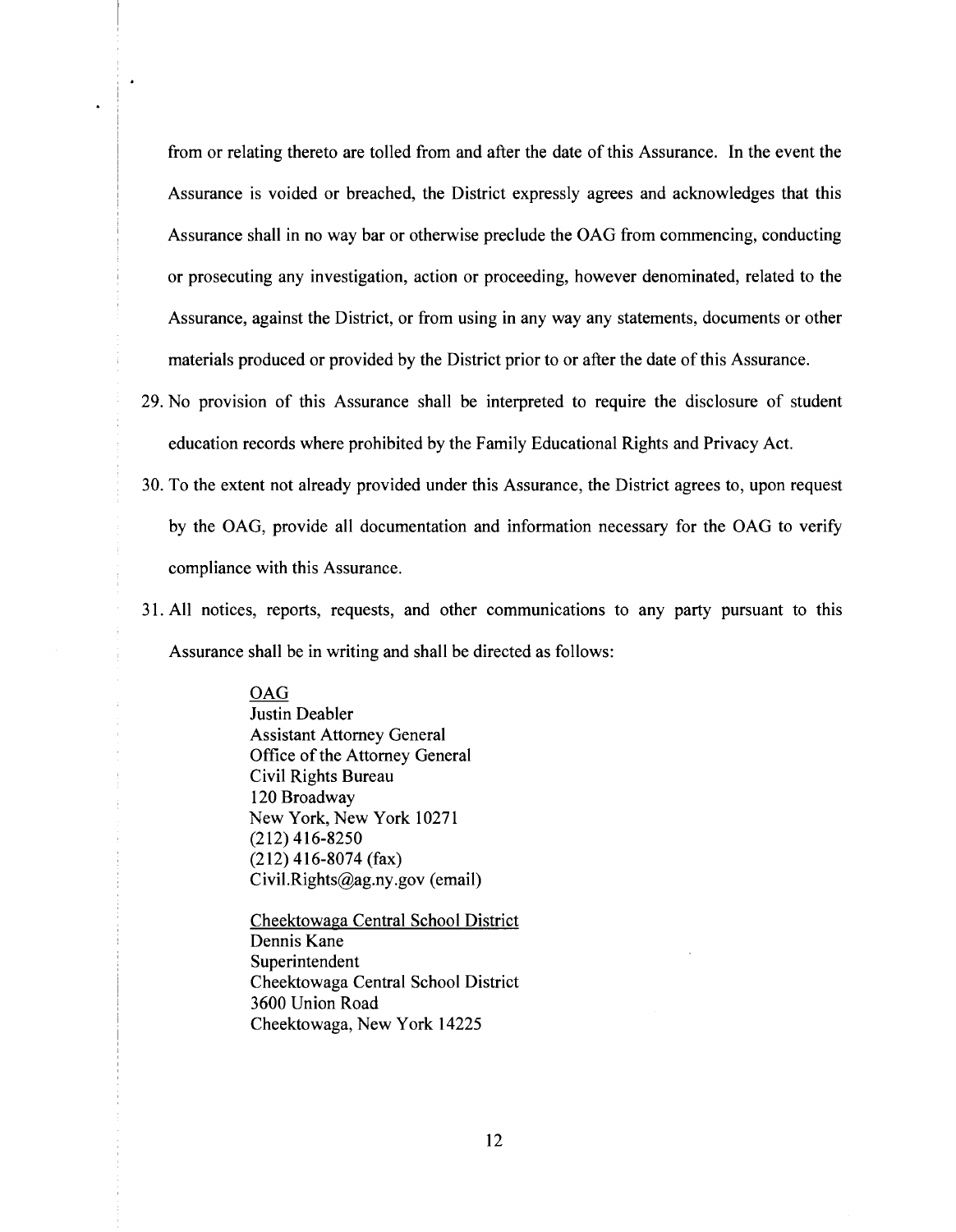from or relating thereto are tolled from and after the date of this Assurance. In the event the Assurance is voided or breached, the District expressly agrees and acknowledges that this Assurance shall in no way bar or otherwise preclude the OAG from commencing, conducting or prosecuting any investigation, action or proceeding, however denominated, related to the Assurance, against the District, or from using in any way any statements, documents or other materials produced or provided by the District prior to or after the date of this Assurance.

- 29. No provision of this Assurance shall be interpreted to require the disclosure of student education records where prohibited by the Family Educational Rights and Privacy Act.
- 30. To the extent not already provided under this Assurance, the District agrees to, upon request by the OAG, provide all documentation and information necessary for the OAG to verify compliance with this Assurance.
- 31. All notices, reports, requests, and other communications to any party pursuant to this Assurance shall be in writing and shall be directed as follows:

OAG Justin Deabler Assistant Attorney General Office of the Attorney General Civil Rights Bureau 120 Broadway New York, New York 10271 (212) 416-8250 (212) 416-8074 (fax) Civil.Rights@ag.ny.gov (email)

Cheektowaga Central School District Dennis Kane Superintendent Cheektowaga Central School District 3600 Union Road Cheektowaga, New York 14225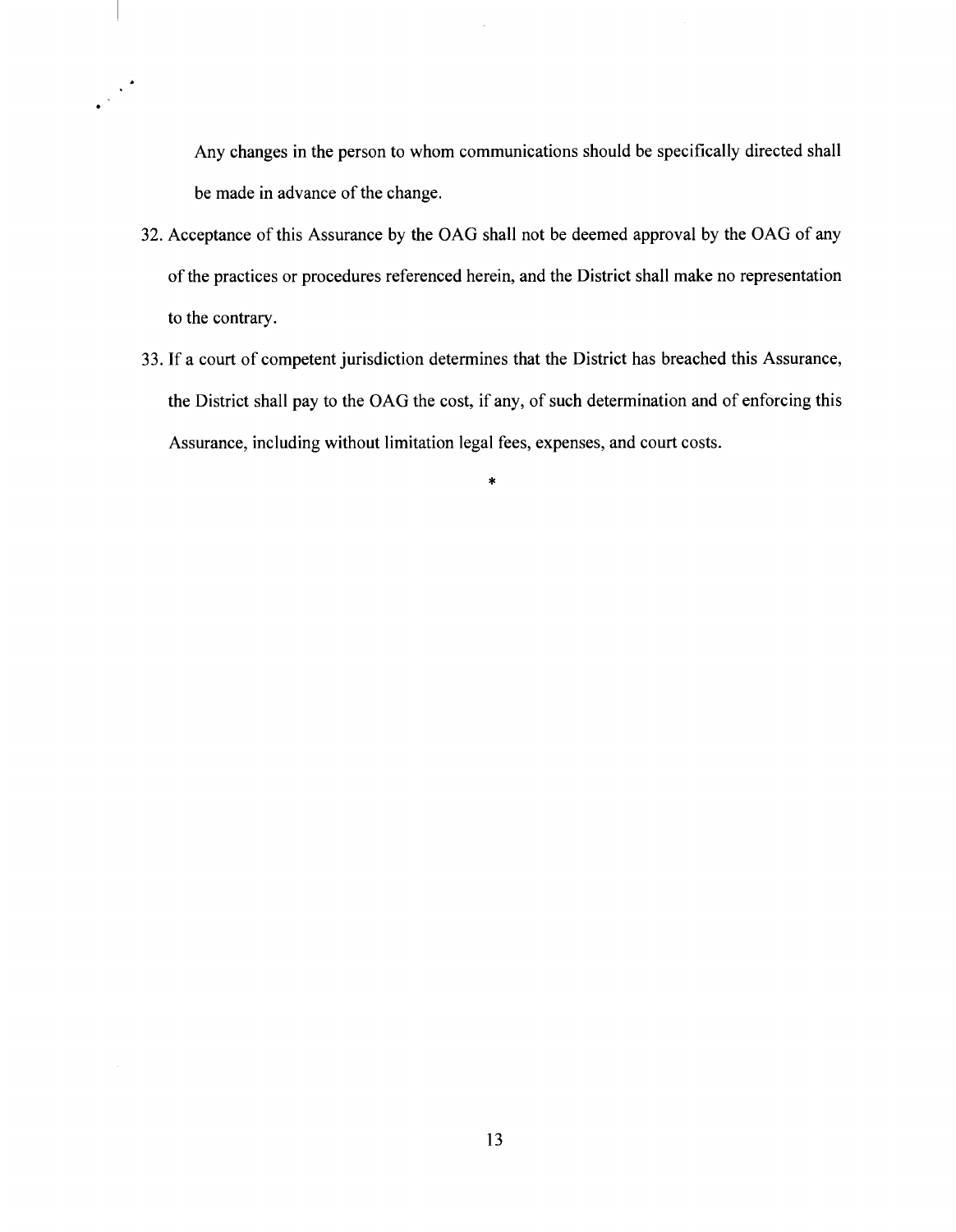Any changes in the person to whom communications should be specifically directed shall be made in advance of the change.

- 32. Acceptance of this Assurance by the OAG shall not be deemed approval by the OAG of any of the practices or procedures referenced herein, and the District shall make no representation to the contrary.
- 33. If a court of competent jurisdiction determines that the District has breached this Assurance, the District shall pay to the OAG the cost, if any, of such determination and of enforcing this Assurance, including without limitation legal fees, expenses, and court costs.

\*